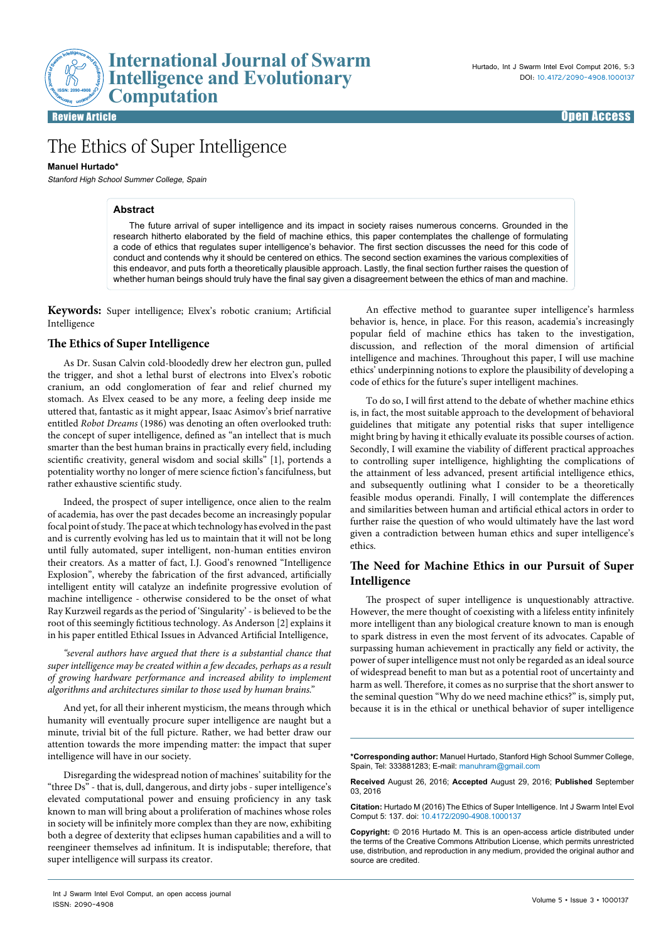Review Article Open Access

# The Ethics of Super Intelligence

## **Manuel Hurtado\***

Stanford High School Summer College, Spain

## **Abstract**

The future arrival of super intelligence and its impact in society raises numerous concerns. Grounded in the research hitherto elaborated by the field of machine ethics, this paper contemplates the challenge of formulating a code of ethics that regulates super intelligence's behavior. The first section discusses the need for this code of conduct and contends why it should be centered on ethics. The second section examines the various complexities of this endeavor, and puts forth a theoretically plausible approach. Lastly, the final section further raises the question of whether human beings should truly have the final say given a disagreement between the ethics of man and machine.

**Keywords:** Super intelligence; Elvex's robotic cranium; Artificial Intelligence

## **The Ethics of Super Intelligence**

As Dr. Susan Calvin cold-bloodedly drew her electron gun, pulled the trigger, and shot a lethal burst of electrons into Elvex's robotic cranium, an odd conglomeration of fear and relief churned my stomach. As Elvex ceased to be any more, a feeling deep inside me uttered that, fantastic as it might appear, Isaac Asimov's brief narrative entitled *Robot Dreams* (1986) was denoting an often overlooked truth: the concept of super intelligence, defined as "an intellect that is much smarter than the best human brains in practically every field, including scientific creativity, general wisdom and social skills" [1], portends a potentiality worthy no longer of mere science fiction's fancifulness, but rather exhaustive scientific study.

Indeed, the prospect of super intelligence, once alien to the realm of academia, has over the past decades become an increasingly popular focal point of study. The pace at which technology has evolved in the past and is currently evolving has led us to maintain that it will not be long until fully automated, super intelligent, non-human entities environ their creators. As a matter of fact, I.J. Good's renowned "Intelligence Explosion", whereby the fabrication of the first advanced, artificially intelligent entity will catalyze an indefinite progressive evolution of machine intelligence - otherwise considered to be the onset of what Ray Kurzweil regards as the period of 'Singularity' - is believed to be the root of this seemingly fictitious technology. As Anderson [2] explains it in his paper entitled Ethical Issues in Advanced Artificial Intelligence,

*"several authors have argued that there is a substantial chance that super intelligence may be created within a few decades, perhaps as a result of growing hardware performance and increased ability to implement algorithms and architectures similar to those used by human brains."*

And yet, for all their inherent mysticism, the means through which humanity will eventually procure super intelligence are naught but a minute, trivial bit of the full picture. Rather, we had better draw our attention towards the more impending matter: the impact that super intelligence will have in our society.

Disregarding the widespread notion of machines' suitability for the "three Ds" - that is, dull, dangerous, and dirty jobs - super intelligence's elevated computational power and ensuing proficiency in any task known to man will bring about a proliferation of machines whose roles in society will be infinitely more complex than they are now, exhibiting both a degree of dexterity that eclipses human capabilities and a will to reengineer themselves ad infinitum. It is indisputable; therefore, that super intelligence will surpass its creator.

To do so, I will first attend to the debate of whether machine ethics is, in fact, the most suitable approach to the development of behavioral guidelines that mitigate any potential risks that super intelligence might bring by having it ethically evaluate its possible courses of action. Secondly, I will examine the viability of different practical approaches to controlling super intelligence, highlighting the complications of the attainment of less advanced, present artificial intelligence ethics, and subsequently outlining what I consider to be a theoretically feasible modus operandi. Finally, I will contemplate the differences and similarities between human and artificial ethical actors in order to further raise the question of who would ultimately have the last word given a contradiction between human ethics and super intelligence's ethics.

## **The Need for Machine Ethics in our Pursuit of Super Intelligence**

The prospect of super intelligence is unquestionably attractive. However, the mere thought of coexisting with a lifeless entity infinitely more intelligent than any biological creature known to man is enough to spark distress in even the most fervent of its advocates. Capable of surpassing human achievement in practically any field or activity, the power of super intelligence must not only be regarded as an ideal source of widespread benefit to man but as a potential root of uncertainty and harm as well. Therefore, it comes as no surprise that the short answer to the seminal question "Why do we need machine ethics?" is, simply put, because it is in the ethical or unethical behavior of super intelligence

**Received** August 26, 2016; **Accepted** August 29, 2016; **Published** September 03, 2016

**Citation:** Hurtado M (2016) The Ethics of Super Intelligence. Int J Swarm Intel Evol Comput 5: 137. doi: 10.4172/2090-4908.1000137

**Copyright:** © 2016 Hurtado M. This is an open-access article distributed under the terms of the Creative Commons Attribution License, which permits unrestricted use, distribution, and reproduction in any medium, provided the original author and source are credited.

An effective method to guarantee super intelligence's harmless behavior is, hence, in place. For this reason, academia's increasingly popular field of machine ethics has taken to the investigation, discussion, and reflection of the moral dimension of artificial intelligence and machines. Throughout this paper, I will use machine ethics' underpinning notions to explore the plausibility of developing a code of ethics for the future's super intelligent machines.

**<sup>\*</sup>Corresponding author:** Manuel Hurtado, Stanford High School Summer College, Spain, Tel: 333881283; E-mail: manuhram@gmail.com

Int J Swarm Intel Evol Comput, an open access journal ISSN: 2090-4908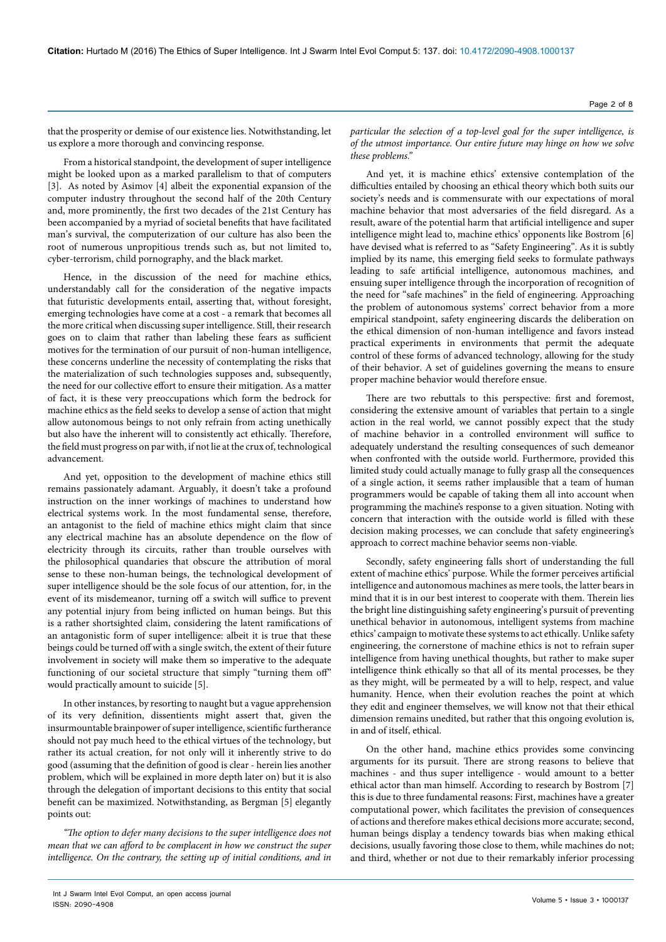From a historical standpoint, the development of super intelligence might be looked upon as a marked parallelism to that of computers [3]. As noted by Asimov [4] albeit the exponential expansion of the computer industry throughout the second half of the 20th Century and, more prominently, the first two decades of the 21st Century has been accompanied by a myriad of societal benefits that have facilitated man's survival, the computerization of our culture has also been the root of numerous unpropitious trends such as, but not limited to, cyber-terrorism, child pornography, and the black market.

Hence, in the discussion of the need for machine ethics, understandably call for the consideration of the negative impacts that futuristic developments entail, asserting that, without foresight, emerging technologies have come at a cost - a remark that becomes all the more critical when discussing super intelligence. Still, their research goes on to claim that rather than labeling these fears as sufficient motives for the termination of our pursuit of non-human intelligence, these concerns underline the necessity of contemplating the risks that the materialization of such technologies supposes and, subsequently, the need for our collective effort to ensure their mitigation. As a matter of fact, it is these very preoccupations which form the bedrock for machine ethics as the field seeks to develop a sense of action that might allow autonomous beings to not only refrain from acting unethically but also have the inherent will to consistently act ethically. Therefore, the field must progress on par with, if not lie at the crux of, technological advancement.

And yet, opposition to the development of machine ethics still remains passionately adamant. Arguably, it doesn't take a profound instruction on the inner workings of machines to understand how electrical systems work. In the most fundamental sense, therefore, an antagonist to the field of machine ethics might claim that since any electrical machine has an absolute dependence on the flow of electricity through its circuits, rather than trouble ourselves with the philosophical quandaries that obscure the attribution of moral sense to these non-human beings, the technological development of super intelligence should be the sole focus of our attention, for, in the event of its misdemeanor, turning off a switch will suffice to prevent any potential injury from being inflicted on human beings. But this is a rather shortsighted claim, considering the latent ramifications of an antagonistic form of super intelligence: albeit it is true that these beings could be turned off with a single switch, the extent of their future involvement in society will make them so imperative to the adequate functioning of our societal structure that simply "turning them off" would practically amount to suicide [5].

In other instances, by resorting to naught but a vague apprehension of its very definition, dissentients might assert that, given the insurmountable brainpower of super intelligence, scientific furtherance should not pay much heed to the ethical virtues of the technology, but rather its actual creation, for not only will it inherently strive to do good (assuming that the definition of good is clear - herein lies another problem, which will be explained in more depth later on) but it is also through the delegation of important decisions to this entity that social benefit can be maximized. Notwithstanding, as Bergman [5] elegantly points out:

*"The option to defer many decisions to the super intelligence does not mean that we can afford to be complacent in how we construct the super intelligence. On the contrary, the setting up of initial conditions, and in*  *particular the selection of a top-level goal for the super intelligence, is of the utmost importance. Our entire future may hinge on how we solve these problems."*

And yet, it is machine ethics' extensive contemplation of the difficulties entailed by choosing an ethical theory which both suits our society's needs and is commensurate with our expectations of moral machine behavior that most adversaries of the field disregard. As a result, aware of the potential harm that artificial intelligence and super intelligence might lead to, machine ethics' opponents like Bostrom [6] have devised what is referred to as "Safety Engineering". As it is subtly implied by its name, this emerging field seeks to formulate pathways leading to safe artificial intelligence, autonomous machines, and ensuing super intelligence through the incorporation of recognition of the need for "safe machines" in the field of engineering. Approaching the problem of autonomous systems' correct behavior from a more empirical standpoint, safety engineering discards the deliberation on the ethical dimension of non-human intelligence and favors instead practical experiments in environments that permit the adequate control of these forms of advanced technology, allowing for the study of their behavior. A set of guidelines governing the means to ensure proper machine behavior would therefore ensue.

There are two rebuttals to this perspective: first and foremost, considering the extensive amount of variables that pertain to a single action in the real world, we cannot possibly expect that the study of machine behavior in a controlled environment will suffice to adequately understand the resulting consequences of such demeanor when confronted with the outside world. Furthermore, provided this limited study could actually manage to fully grasp all the consequences of a single action, it seems rather implausible that a team of human programmers would be capable of taking them all into account when programming the machine's response to a given situation. Noting with concern that interaction with the outside world is filled with these decision making processes, we can conclude that safety engineering's approach to correct machine behavior seems non-viable.

Secondly, safety engineering falls short of understanding the full extent of machine ethics' purpose. While the former perceives artificial intelligence and autonomous machines as mere tools, the latter bears in mind that it is in our best interest to cooperate with them. Therein lies the bright line distinguishing safety engineering's pursuit of preventing unethical behavior in autonomous, intelligent systems from machine ethics' campaign to motivate these systems to act ethically. Unlike safety engineering, the cornerstone of machine ethics is not to refrain super intelligence from having unethical thoughts, but rather to make super intelligence think ethically so that all of its mental processes, be they as they might, will be permeated by a will to help, respect, and value humanity. Hence, when their evolution reaches the point at which they edit and engineer themselves, we will know not that their ethical dimension remains unedited, but rather that this ongoing evolution is, in and of itself, ethical.

On the other hand, machine ethics provides some convincing arguments for its pursuit. There are strong reasons to believe that machines - and thus super intelligence - would amount to a better ethical actor than man himself. According to research by Bostrom [7] this is due to three fundamental reasons: First, machines have a greater computational power, which facilitates the prevision of consequences of actions and therefore makes ethical decisions more accurate; second, human beings display a tendency towards bias when making ethical decisions, usually favoring those close to them, while machines do not; and third, whether or not due to their remarkably inferior processing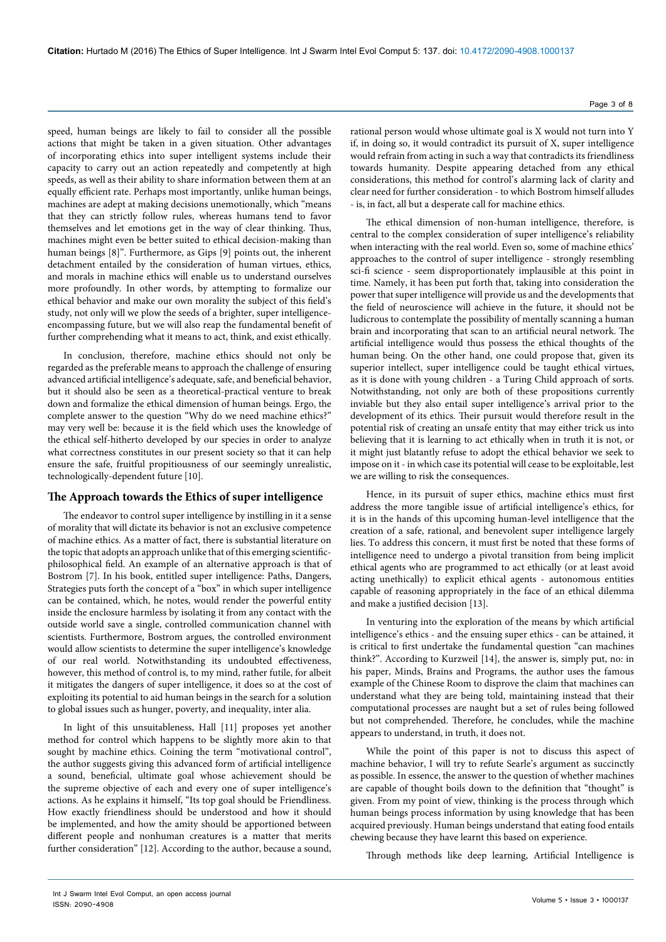speed, human beings are likely to fail to consider all the possible actions that might be taken in a given situation. Other advantages of incorporating ethics into super intelligent systems include their capacity to carry out an action repeatedly and competently at high speeds, as well as their ability to share information between them at an equally efficient rate. Perhaps most importantly, unlike human beings, machines are adept at making decisions unemotionally, which "means that they can strictly follow rules, whereas humans tend to favor themselves and let emotions get in the way of clear thinking. Thus, machines might even be better suited to ethical decision-making than human beings [8]". Furthermore, as Gips [9] points out, the inherent detachment entailed by the consideration of human virtues, ethics, and morals in machine ethics will enable us to understand ourselves more profoundly. In other words, by attempting to formalize our ethical behavior and make our own morality the subject of this field's study, not only will we plow the seeds of a brighter, super intelligenceencompassing future, but we will also reap the fundamental benefit of further comprehending what it means to act, think, and exist ethically.

In conclusion, therefore, machine ethics should not only be regarded as the preferable means to approach the challenge of ensuring advanced artificial intelligence's adequate, safe, and beneficial behavior, but it should also be seen as a theoretical-practical venture to break down and formalize the ethical dimension of human beings. Ergo, the complete answer to the question "Why do we need machine ethics?" may very well be: because it is the field which uses the knowledge of the ethical self-hitherto developed by our species in order to analyze what correctness constitutes in our present society so that it can help ensure the safe, fruitful propitiousness of our seemingly unrealistic, technologically-dependent future [10].

## **The Approach towards the Ethics of super intelligence**

The endeavor to control super intelligence by instilling in it a sense of morality that will dictate its behavior is not an exclusive competence of machine ethics. As a matter of fact, there is substantial literature on the topic that adopts an approach unlike that of this emerging scientificphilosophical field. An example of an alternative approach is that of Bostrom [7]. In his book, entitled super intelligence: Paths, Dangers, Strategies puts forth the concept of a "box" in which super intelligence can be contained, which, he notes, would render the powerful entity inside the enclosure harmless by isolating it from any contact with the outside world save a single, controlled communication channel with scientists. Furthermore, Bostrom argues, the controlled environment would allow scientists to determine the super intelligence's knowledge of our real world. Notwithstanding its undoubted effectiveness, however, this method of control is, to my mind, rather futile, for albeit it mitigates the dangers of super intelligence, it does so at the cost of exploiting its potential to aid human beings in the search for a solution to global issues such as hunger, poverty, and inequality, inter alia.

In light of this unsuitableness, Hall [11] proposes yet another method for control which happens to be slightly more akin to that sought by machine ethics. Coining the term "motivational control", the author suggests giving this advanced form of artificial intelligence a sound, beneficial, ultimate goal whose achievement should be the supreme objective of each and every one of super intelligence's actions. As he explains it himself, "Its top goal should be Friendliness. How exactly friendliness should be understood and how it should be implemented, and how the amity should be apportioned between different people and nonhuman creatures is a matter that merits further consideration" [12]. According to the author, because a sound,

rational person would whose ultimate goal is X would not turn into Y if, in doing so, it would contradict its pursuit of X, super intelligence would refrain from acting in such a way that contradicts its friendliness towards humanity. Despite appearing detached from any ethical considerations, this method for control's alarming lack of clarity and clear need for further consideration - to which Bostrom himself alludes - is, in fact, all but a desperate call for machine ethics.

The ethical dimension of non-human intelligence, therefore, is central to the complex consideration of super intelligence's reliability when interacting with the real world. Even so, some of machine ethics' approaches to the control of super intelligence - strongly resembling sci-fi science - seem disproportionately implausible at this point in time. Namely, it has been put forth that, taking into consideration the power that super intelligence will provide us and the developments that the field of neuroscience will achieve in the future, it should not be ludicrous to contemplate the possibility of mentally scanning a human brain and incorporating that scan to an artificial neural network. The artificial intelligence would thus possess the ethical thoughts of the human being. On the other hand, one could propose that, given its superior intellect, super intelligence could be taught ethical virtues, as it is done with young children - a Turing Child approach of sorts. Notwithstanding, not only are both of these propositions currently inviable but they also entail super intelligence's arrival prior to the development of its ethics. Their pursuit would therefore result in the potential risk of creating an unsafe entity that may either trick us into believing that it is learning to act ethically when in truth it is not, or it might just blatantly refuse to adopt the ethical behavior we seek to impose on it - in which case its potential will cease to be exploitable, lest we are willing to risk the consequences.

Hence, in its pursuit of super ethics, machine ethics must first address the more tangible issue of artificial intelligence's ethics, for it is in the hands of this upcoming human-level intelligence that the creation of a safe, rational, and benevolent super intelligence largely lies. To address this concern, it must first be noted that these forms of intelligence need to undergo a pivotal transition from being implicit ethical agents who are programmed to act ethically (or at least avoid acting unethically) to explicit ethical agents - autonomous entities capable of reasoning appropriately in the face of an ethical dilemma and make a justified decision [13].

In venturing into the exploration of the means by which artificial intelligence's ethics - and the ensuing super ethics - can be attained, it is critical to first undertake the fundamental question "can machines think?". According to Kurzweil [14], the answer is, simply put, no: in his paper, Minds, Brains and Programs, the author uses the famous example of the Chinese Room to disprove the claim that machines can understand what they are being told, maintaining instead that their computational processes are naught but a set of rules being followed but not comprehended. Therefore, he concludes, while the machine appears to understand, in truth, it does not.

While the point of this paper is not to discuss this aspect of machine behavior, I will try to refute Searle's argument as succinctly as possible. In essence, the answer to the question of whether machines are capable of thought boils down to the definition that "thought" is given. From my point of view, thinking is the process through which human beings process information by using knowledge that has been acquired previously. Human beings understand that eating food entails chewing because they have learnt this based on experience.

Through methods like deep learning, Artificial Intelligence is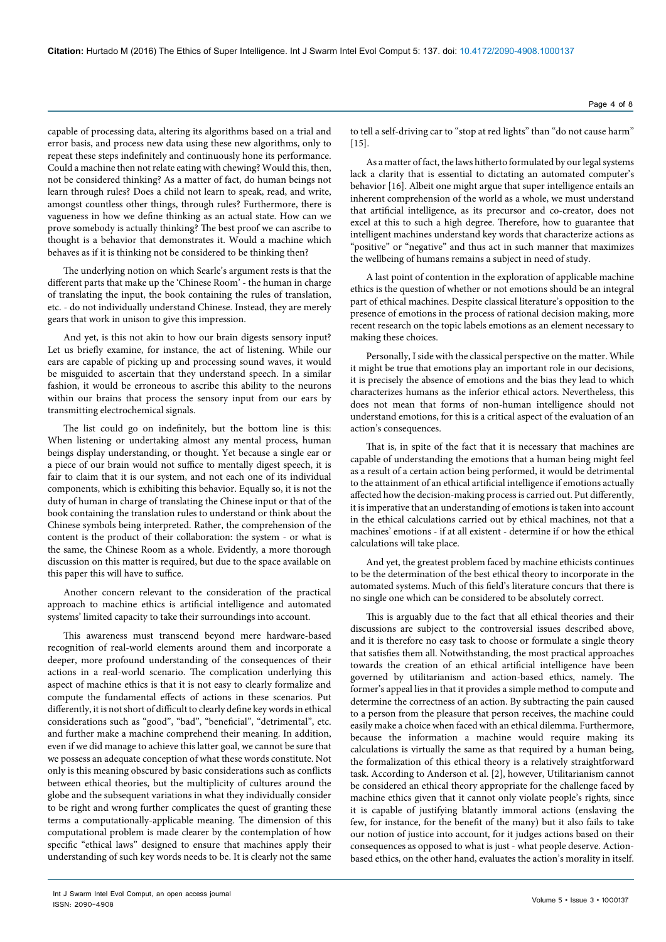capable of processing data, altering its algorithms based on a trial and error basis, and process new data using these new algorithms, only to repeat these steps indefinitely and continuously hone its performance. Could a machine then not relate eating with chewing? Would this, then, not be considered thinking? As a matter of fact, do human beings not learn through rules? Does a child not learn to speak, read, and write, amongst countless other things, through rules? Furthermore, there is vagueness in how we define thinking as an actual state. How can we prove somebody is actually thinking? The best proof we can ascribe to thought is a behavior that demonstrates it. Would a machine which behaves as if it is thinking not be considered to be thinking then?

The underlying notion on which Searle's argument rests is that the different parts that make up the 'Chinese Room' - the human in charge of translating the input, the book containing the rules of translation, etc. - do not individually understand Chinese. Instead, they are merely gears that work in unison to give this impression.

And yet, is this not akin to how our brain digests sensory input? Let us briefly examine, for instance, the act of listening. While our ears are capable of picking up and processing sound waves, it would be misguided to ascertain that they understand speech. In a similar fashion, it would be erroneous to ascribe this ability to the neurons within our brains that process the sensory input from our ears by transmitting electrochemical signals.

The list could go on indefinitely, but the bottom line is this: When listening or undertaking almost any mental process, human beings display understanding, or thought. Yet because a single ear or a piece of our brain would not suffice to mentally digest speech, it is fair to claim that it is our system, and not each one of its individual components, which is exhibiting this behavior. Equally so, it is not the duty of human in charge of translating the Chinese input or that of the book containing the translation rules to understand or think about the Chinese symbols being interpreted. Rather, the comprehension of the content is the product of their collaboration: the system - or what is the same, the Chinese Room as a whole. Evidently, a more thorough discussion on this matter is required, but due to the space available on this paper this will have to suffice.

Another concern relevant to the consideration of the practical approach to machine ethics is artificial intelligence and automated systems' limited capacity to take their surroundings into account.

This awareness must transcend beyond mere hardware-based recognition of real-world elements around them and incorporate a deeper, more profound understanding of the consequences of their actions in a real-world scenario. The complication underlying this aspect of machine ethics is that it is not easy to clearly formalize and compute the fundamental effects of actions in these scenarios. Put differently, it is not short of difficult to clearly define key words in ethical considerations such as "good", "bad", "beneficial", "detrimental", etc. and further make a machine comprehend their meaning. In addition, even if we did manage to achieve this latter goal, we cannot be sure that we possess an adequate conception of what these words constitute. Not only is this meaning obscured by basic considerations such as conflicts between ethical theories, but the multiplicity of cultures around the globe and the subsequent variations in what they individually consider to be right and wrong further complicates the quest of granting these terms a computationally-applicable meaning. The dimension of this computational problem is made clearer by the contemplation of how specific "ethical laws" designed to ensure that machines apply their understanding of such key words needs to be. It is clearly not the same

to tell a self-driving car to "stop at red lights" than "do not cause harm"  $[15]$ .

As a matter of fact, the laws hitherto formulated by our legal systems lack a clarity that is essential to dictating an automated computer's behavior [16]. Albeit one might argue that super intelligence entails an inherent comprehension of the world as a whole, we must understand that artificial intelligence, as its precursor and co-creator, does not excel at this to such a high degree. Therefore, how to guarantee that intelligent machines understand key words that characterize actions as "positive" or "negative" and thus act in such manner that maximizes the wellbeing of humans remains a subject in need of study.

A last point of contention in the exploration of applicable machine ethics is the question of whether or not emotions should be an integral part of ethical machines. Despite classical literature's opposition to the presence of emotions in the process of rational decision making, more recent research on the topic labels emotions as an element necessary to making these choices.

Personally, I side with the classical perspective on the matter. While it might be true that emotions play an important role in our decisions, it is precisely the absence of emotions and the bias they lead to which characterizes humans as the inferior ethical actors. Nevertheless, this does not mean that forms of non-human intelligence should not understand emotions, for this is a critical aspect of the evaluation of an action's consequences.

That is, in spite of the fact that it is necessary that machines are capable of understanding the emotions that a human being might feel as a result of a certain action being performed, it would be detrimental to the attainment of an ethical artificial intelligence if emotions actually affected how the decision-making process is carried out. Put differently, it is imperative that an understanding of emotions is taken into account in the ethical calculations carried out by ethical machines, not that a machines' emotions - if at all existent - determine if or how the ethical calculations will take place.

And yet, the greatest problem faced by machine ethicists continues to be the determination of the best ethical theory to incorporate in the automated systems. Much of this field's literature concurs that there is no single one which can be considered to be absolutely correct.

This is arguably due to the fact that all ethical theories and their discussions are subject to the controversial issues described above, and it is therefore no easy task to choose or formulate a single theory that satisfies them all. Notwithstanding, the most practical approaches towards the creation of an ethical artificial intelligence have been governed by utilitarianism and action-based ethics, namely. The former's appeal lies in that it provides a simple method to compute and determine the correctness of an action. By subtracting the pain caused to a person from the pleasure that person receives, the machine could easily make a choice when faced with an ethical dilemma. Furthermore, because the information a machine would require making its calculations is virtually the same as that required by a human being, the formalization of this ethical theory is a relatively straightforward task. According to Anderson et al. [2], however, Utilitarianism cannot be considered an ethical theory appropriate for the challenge faced by machine ethics given that it cannot only violate people's rights, since it is capable of justifying blatantly immoral actions (enslaving the few, for instance, for the benefit of the many) but it also fails to take our notion of justice into account, for it judges actions based on their consequences as opposed to what is just - what people deserve. Actionbased ethics, on the other hand, evaluates the action's morality in itself.

Int J Swarm Intel Evol Comput, an open access journal ISSN: 2090-4908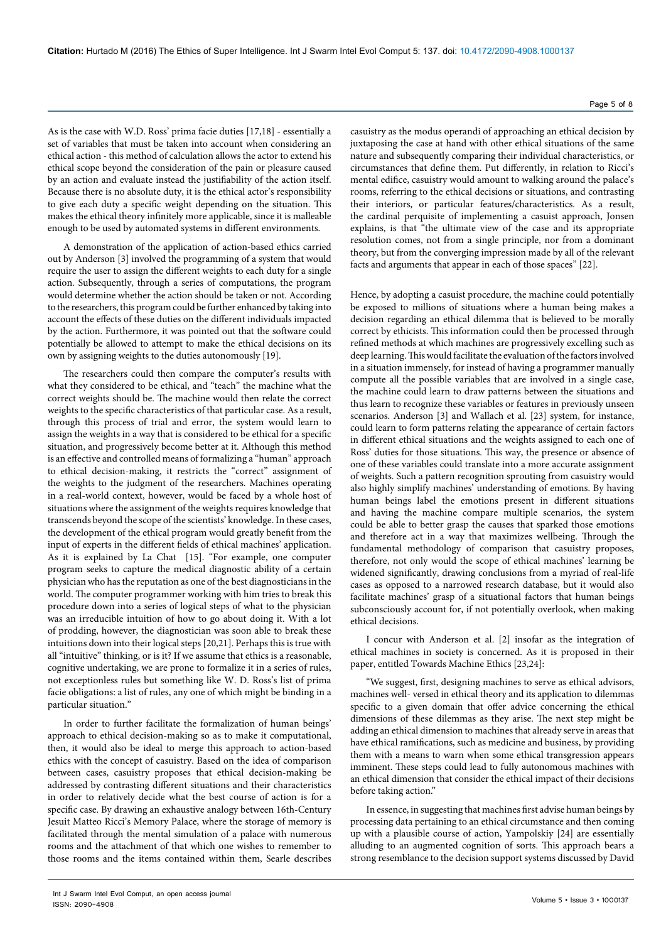As is the case with W.D. Ross' prima facie duties [17,18] - essentially a set of variables that must be taken into account when considering an ethical action - this method of calculation allows the actor to extend his ethical scope beyond the consideration of the pain or pleasure caused by an action and evaluate instead the justifiability of the action itself. Because there is no absolute duty, it is the ethical actor's responsibility to give each duty a specific weight depending on the situation. This makes the ethical theory infinitely more applicable, since it is malleable enough to be used by automated systems in different environments.

A demonstration of the application of action-based ethics carried out by Anderson [3] involved the programming of a system that would require the user to assign the different weights to each duty for a single action. Subsequently, through a series of computations, the program would determine whether the action should be taken or not. According to the researchers, this program could be further enhanced by taking into account the effects of these duties on the different individuals impacted by the action. Furthermore, it was pointed out that the software could potentially be allowed to attempt to make the ethical decisions on its own by assigning weights to the duties autonomously [19].

The researchers could then compare the computer's results with what they considered to be ethical, and "teach" the machine what the correct weights should be. The machine would then relate the correct weights to the specific characteristics of that particular case. As a result, through this process of trial and error, the system would learn to assign the weights in a way that is considered to be ethical for a specific situation, and progressively become better at it. Although this method is an effective and controlled means of formalizing a "human" approach to ethical decision-making, it restricts the "correct" assignment of the weights to the judgment of the researchers. Machines operating in a real-world context, however, would be faced by a whole host of situations where the assignment of the weights requires knowledge that transcends beyond the scope of the scientists' knowledge. In these cases, the development of the ethical program would greatly benefit from the input of experts in the different fields of ethical machines' application. As it is explained by La Chat [15]. "For example, one computer program seeks to capture the medical diagnostic ability of a certain physician who has the reputation as one of the best diagnosticians in the world. The computer programmer working with him tries to break this procedure down into a series of logical steps of what to the physician was an irreducible intuition of how to go about doing it. With a lot of prodding, however, the diagnostician was soon able to break these intuitions down into their logical steps [20,21]. Perhaps this is true with all "intuitive" thinking, or is it? If we assume that ethics is a reasonable, cognitive undertaking, we are prone to formalize it in a series of rules, not exceptionless rules but something like W. D. Ross's list of prima facie obligations: a list of rules, any one of which might be binding in a particular situation."

In order to further facilitate the formalization of human beings' approach to ethical decision-making so as to make it computational, then, it would also be ideal to merge this approach to action-based ethics with the concept of casuistry. Based on the idea of comparison between cases, casuistry proposes that ethical decision-making be addressed by contrasting different situations and their characteristics in order to relatively decide what the best course of action is for a specific case. By drawing an exhaustive analogy between 16th-Century Jesuit Matteo Ricci's Memory Palace, where the storage of memory is facilitated through the mental simulation of a palace with numerous rooms and the attachment of that which one wishes to remember to those rooms and the items contained within them, Searle describes

casuistry as the modus operandi of approaching an ethical decision by juxtaposing the case at hand with other ethical situations of the same nature and subsequently comparing their individual characteristics, or circumstances that define them. Put differently, in relation to Ricci's mental edifice, casuistry would amount to walking around the palace's rooms, referring to the ethical decisions or situations, and contrasting their interiors, or particular features/characteristics. As a result, the cardinal perquisite of implementing a casuist approach, Jonsen explains, is that "the ultimate view of the case and its appropriate resolution comes, not from a single principle, nor from a dominant theory, but from the converging impression made by all of the relevant facts and arguments that appear in each of those spaces" [22].

Hence, by adopting a casuist procedure, the machine could potentially be exposed to millions of situations where a human being makes a decision regarding an ethical dilemma that is believed to be morally correct by ethicists. This information could then be processed through refined methods at which machines are progressively excelling such as deep learning. This would facilitate the evaluation of the factors involved in a situation immensely, for instead of having a programmer manually compute all the possible variables that are involved in a single case, the machine could learn to draw patterns between the situations and thus learn to recognize these variables or features in previously unseen scenarios. Anderson [3] and Wallach et al. [23] system, for instance, could learn to form patterns relating the appearance of certain factors in different ethical situations and the weights assigned to each one of Ross' duties for those situations. This way, the presence or absence of one of these variables could translate into a more accurate assignment of weights. Such a pattern recognition sprouting from casuistry would also highly simplify machines' understanding of emotions. By having human beings label the emotions present in different situations and having the machine compare multiple scenarios, the system could be able to better grasp the causes that sparked those emotions and therefore act in a way that maximizes wellbeing. Through the fundamental methodology of comparison that casuistry proposes, therefore, not only would the scope of ethical machines' learning be widened significantly, drawing conclusions from a myriad of real-life cases as opposed to a narrowed research database, but it would also facilitate machines' grasp of a situational factors that human beings subconsciously account for, if not potentially overlook, when making ethical decisions.

I concur with Anderson et al. [2] insofar as the integration of ethical machines in society is concerned. As it is proposed in their paper, entitled Towards Machine Ethics [23,24]:

"We suggest, first, designing machines to serve as ethical advisors, machines well- versed in ethical theory and its application to dilemmas specific to a given domain that offer advice concerning the ethical dimensions of these dilemmas as they arise. The next step might be adding an ethical dimension to machines that already serve in areas that have ethical ramifications, such as medicine and business, by providing them with a means to warn when some ethical transgression appears imminent. These steps could lead to fully autonomous machines with an ethical dimension that consider the ethical impact of their decisions before taking action."

In essence, in suggesting that machines first advise human beings by processing data pertaining to an ethical circumstance and then coming up with a plausible course of action, Yampolskiy [24] are essentially alluding to an augmented cognition of sorts. This approach bears a strong resemblance to the decision support systems discussed by David

Int J Swarm Intel Evol Comput, an open access journal ISSN: 2090-4908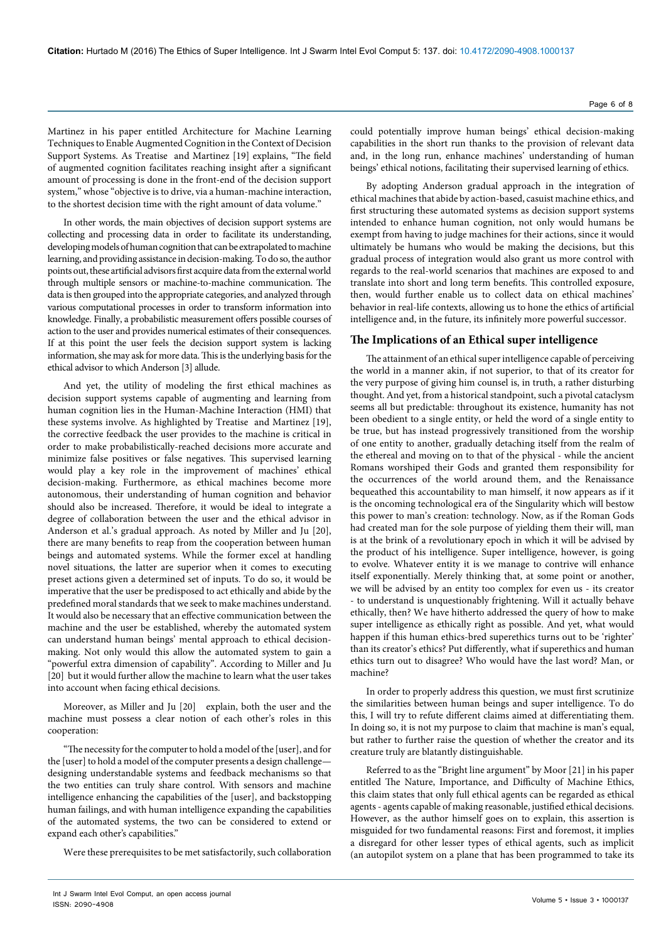Martinez in his paper entitled Architecture for Machine Learning Techniques to Enable Augmented Cognition in the Context of Decision Support Systems. As Treatise and Martinez [19] explains, "The field of augmented cognition facilitates reaching insight after a significant amount of processing is done in the front-end of the decision support system," whose "objective is to drive, via a human-machine interaction, to the shortest decision time with the right amount of data volume."

In other words, the main objectives of decision support systems are collecting and processing data in order to facilitate its understanding, developing models of human cognition that can be extrapolated to machine learning, and providing assistance in decision-making. To do so, the author points out, these artificial advisors first acquire data from the external world through multiple sensors or machine-to-machine communication. The data is then grouped into the appropriate categories, and analyzed through various computational processes in order to transform information into knowledge. Finally, a probabilistic measurement offers possible courses of action to the user and provides numerical estimates of their consequences. If at this point the user feels the decision support system is lacking information, she may ask for more data. This is the underlying basis for the ethical advisor to which Anderson [3] allude.

And yet, the utility of modeling the first ethical machines as decision support systems capable of augmenting and learning from human cognition lies in the Human-Machine Interaction (HMI) that these systems involve. As highlighted by Treatise and Martinez [19], the corrective feedback the user provides to the machine is critical in order to make probabilistically-reached decisions more accurate and minimize false positives or false negatives. This supervised learning would play a key role in the improvement of machines' ethical decision-making. Furthermore, as ethical machines become more autonomous, their understanding of human cognition and behavior should also be increased. Therefore, it would be ideal to integrate a degree of collaboration between the user and the ethical advisor in Anderson et al.'s gradual approach. As noted by Miller and Ju [20], there are many benefits to reap from the cooperation between human beings and automated systems. While the former excel at handling novel situations, the latter are superior when it comes to executing preset actions given a determined set of inputs. To do so, it would be imperative that the user be predisposed to act ethically and abide by the predefined moral standards that we seek to make machines understand. It would also be necessary that an effective communication between the machine and the user be established, whereby the automated system can understand human beings' mental approach to ethical decisionmaking. Not only would this allow the automated system to gain a "powerful extra dimension of capability". According to Miller and Ju [20] but it would further allow the machine to learn what the user takes into account when facing ethical decisions.

Moreover, as Miller and Ju [20] explain, both the user and the machine must possess a clear notion of each other's roles in this cooperation:

"The necessity for the computer to hold a model of the [user], and for the [user] to hold a model of the computer presents a design challenge designing understandable systems and feedback mechanisms so that the two entities can truly share control. With sensors and machine intelligence enhancing the capabilities of the [user], and backstopping human failings, and with human intelligence expanding the capabilities of the automated systems, the two can be considered to extend or expand each other's capabilities."

Were these prerequisites to be met satisfactorily, such collaboration

could potentially improve human beings' ethical decision-making capabilities in the short run thanks to the provision of relevant data and, in the long run, enhance machines' understanding of human beings' ethical notions, facilitating their supervised learning of ethics.

By adopting Anderson gradual approach in the integration of ethical machines that abide by action-based, casuist machine ethics, and first structuring these automated systems as decision support systems intended to enhance human cognition, not only would humans be exempt from having to judge machines for their actions, since it would ultimately be humans who would be making the decisions, but this gradual process of integration would also grant us more control with regards to the real-world scenarios that machines are exposed to and translate into short and long term benefits. This controlled exposure, then, would further enable us to collect data on ethical machines' behavior in real-life contexts, allowing us to hone the ethics of artificial intelligence and, in the future, its infinitely more powerful successor.

## **The Implications of an Ethical super intelligence**

The attainment of an ethical super intelligence capable of perceiving the world in a manner akin, if not superior, to that of its creator for the very purpose of giving him counsel is, in truth, a rather disturbing thought. And yet, from a historical standpoint, such a pivotal cataclysm seems all but predictable: throughout its existence, humanity has not been obedient to a single entity, or held the word of a single entity to be true, but has instead progressively transitioned from the worship of one entity to another, gradually detaching itself from the realm of the ethereal and moving on to that of the physical - while the ancient Romans worshiped their Gods and granted them responsibility for the occurrences of the world around them, and the Renaissance bequeathed this accountability to man himself, it now appears as if it is the oncoming technological era of the Singularity which will bestow this power to man's creation: technology. Now, as if the Roman Gods had created man for the sole purpose of yielding them their will, man is at the brink of a revolutionary epoch in which it will be advised by the product of his intelligence. Super intelligence, however, is going to evolve. Whatever entity it is we manage to contrive will enhance itself exponentially. Merely thinking that, at some point or another, we will be advised by an entity too complex for even us - its creator - to understand is unquestionably frightening. Will it actually behave ethically, then? We have hitherto addressed the query of how to make super intelligence as ethically right as possible. And yet, what would happen if this human ethics-bred superethics turns out to be 'righter' than its creator's ethics? Put differently, what if superethics and human ethics turn out to disagree? Who would have the last word? Man, or machine?

In order to properly address this question, we must first scrutinize the similarities between human beings and super intelligence. To do this, I will try to refute different claims aimed at differentiating them. In doing so, it is not my purpose to claim that machine is man's equal, but rather to further raise the question of whether the creator and its creature truly are blatantly distinguishable.

Referred to as the "Bright line argument" by Moor [21] in his paper entitled The Nature, Importance, and Difficulty of Machine Ethics, this claim states that only full ethical agents can be regarded as ethical agents - agents capable of making reasonable, justified ethical decisions. However, as the author himself goes on to explain, this assertion is misguided for two fundamental reasons: First and foremost, it implies a disregard for other lesser types of ethical agents, such as implicit (an autopilot system on a plane that has been programmed to take its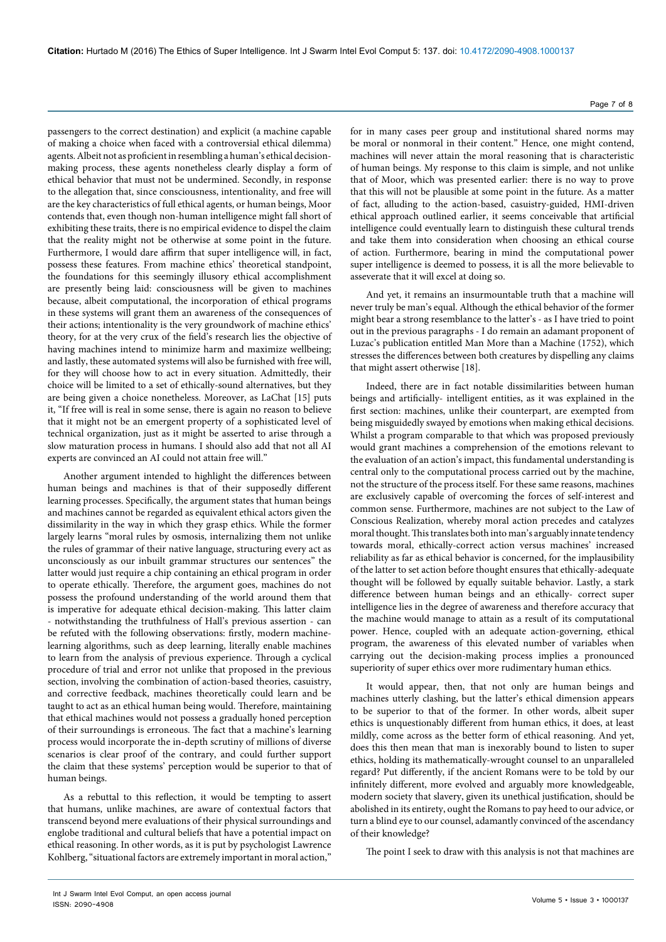passengers to the correct destination) and explicit (a machine capable of making a choice when faced with a controversial ethical dilemma) agents. Albeit not as proficient in resembling a human's ethical decisionmaking process, these agents nonetheless clearly display a form of ethical behavior that must not be undermined. Secondly, in response to the allegation that, since consciousness, intentionality, and free will are the key characteristics of full ethical agents, or human beings, Moor contends that, even though non-human intelligence might fall short of exhibiting these traits, there is no empirical evidence to dispel the claim that the reality might not be otherwise at some point in the future. Furthermore, I would dare affirm that super intelligence will, in fact, possess these features. From machine ethics' theoretical standpoint, the foundations for this seemingly illusory ethical accomplishment are presently being laid: consciousness will be given to machines because, albeit computational, the incorporation of ethical programs in these systems will grant them an awareness of the consequences of their actions; intentionality is the very groundwork of machine ethics' theory, for at the very crux of the field's research lies the objective of having machines intend to minimize harm and maximize wellbeing; and lastly, these automated systems will also be furnished with free will, for they will choose how to act in every situation. Admittedly, their choice will be limited to a set of ethically-sound alternatives, but they are being given a choice nonetheless. Moreover, as LaChat [15] puts it, "If free will is real in some sense, there is again no reason to believe that it might not be an emergent property of a sophisticated level of technical organization, just as it might be asserted to arise through a slow maturation process in humans. I should also add that not all AI experts are convinced an AI could not attain free will."

Another argument intended to highlight the differences between human beings and machines is that of their supposedly different learning processes. Specifically, the argument states that human beings and machines cannot be regarded as equivalent ethical actors given the dissimilarity in the way in which they grasp ethics. While the former largely learns "moral rules by osmosis, internalizing them not unlike the rules of grammar of their native language, structuring every act as unconsciously as our inbuilt grammar structures our sentences" the latter would just require a chip containing an ethical program in order to operate ethically. Therefore, the argument goes, machines do not possess the profound understanding of the world around them that is imperative for adequate ethical decision-making. This latter claim - notwithstanding the truthfulness of Hall's previous assertion - can be refuted with the following observations: firstly, modern machinelearning algorithms, such as deep learning, literally enable machines to learn from the analysis of previous experience. Through a cyclical procedure of trial and error not unlike that proposed in the previous section, involving the combination of action-based theories, casuistry, and corrective feedback, machines theoretically could learn and be taught to act as an ethical human being would. Therefore, maintaining that ethical machines would not possess a gradually honed perception of their surroundings is erroneous. The fact that a machine's learning process would incorporate the in-depth scrutiny of millions of diverse scenarios is clear proof of the contrary, and could further support the claim that these systems' perception would be superior to that of human beings.

As a rebuttal to this reflection, it would be tempting to assert that humans, unlike machines, are aware of contextual factors that transcend beyond mere evaluations of their physical surroundings and englobe traditional and cultural beliefs that have a potential impact on ethical reasoning. In other words, as it is put by psychologist Lawrence Kohlberg, "situational factors are extremely important in moral action,"

for in many cases peer group and institutional shared norms may be moral or nonmoral in their content." Hence, one might contend, machines will never attain the moral reasoning that is characteristic of human beings. My response to this claim is simple, and not unlike that of Moor, which was presented earlier: there is no way to prove that this will not be plausible at some point in the future. As a matter of fact, alluding to the action-based, casuistry-guided, HMI-driven ethical approach outlined earlier, it seems conceivable that artificial intelligence could eventually learn to distinguish these cultural trends and take them into consideration when choosing an ethical course of action. Furthermore, bearing in mind the computational power super intelligence is deemed to possess, it is all the more believable to asseverate that it will excel at doing so.

And yet, it remains an insurmountable truth that a machine will never truly be man's equal. Although the ethical behavior of the former might bear a strong resemblance to the latter's - as I have tried to point out in the previous paragraphs - I do remain an adamant proponent of Luzac's publication entitled Man More than a Machine (1752), which stresses the differences between both creatures by dispelling any claims that might assert otherwise [18].

Indeed, there are in fact notable dissimilarities between human beings and artificially- intelligent entities, as it was explained in the first section: machines, unlike their counterpart, are exempted from being misguidedly swayed by emotions when making ethical decisions. Whilst a program comparable to that which was proposed previously would grant machines a comprehension of the emotions relevant to the evaluation of an action's impact, this fundamental understanding is central only to the computational process carried out by the machine, not the structure of the process itself. For these same reasons, machines are exclusively capable of overcoming the forces of self-interest and common sense. Furthermore, machines are not subject to the Law of Conscious Realization, whereby moral action precedes and catalyzes moral thought. This translates both into man's arguably innate tendency towards moral, ethically-correct action versus machines' increased reliability as far as ethical behavior is concerned, for the implausibility of the latter to set action before thought ensures that ethically-adequate thought will be followed by equally suitable behavior. Lastly, a stark difference between human beings and an ethically- correct super intelligence lies in the degree of awareness and therefore accuracy that the machine would manage to attain as a result of its computational power. Hence, coupled with an adequate action-governing, ethical program, the awareness of this elevated number of variables when carrying out the decision-making process implies a pronounced superiority of super ethics over more rudimentary human ethics.

It would appear, then, that not only are human beings and machines utterly clashing, but the latter's ethical dimension appears to be superior to that of the former. In other words, albeit super ethics is unquestionably different from human ethics, it does, at least mildly, come across as the better form of ethical reasoning. And yet, does this then mean that man is inexorably bound to listen to super ethics, holding its mathematically-wrought counsel to an unparalleled regard? Put differently, if the ancient Romans were to be told by our infinitely different, more evolved and arguably more knowledgeable, modern society that slavery, given its unethical justification, should be abolished in its entirety, ought the Romans to pay heed to our advice, or turn a blind eye to our counsel, adamantly convinced of the ascendancy of their knowledge?

The point I seek to draw with this analysis is not that machines are

Page 7 of 8